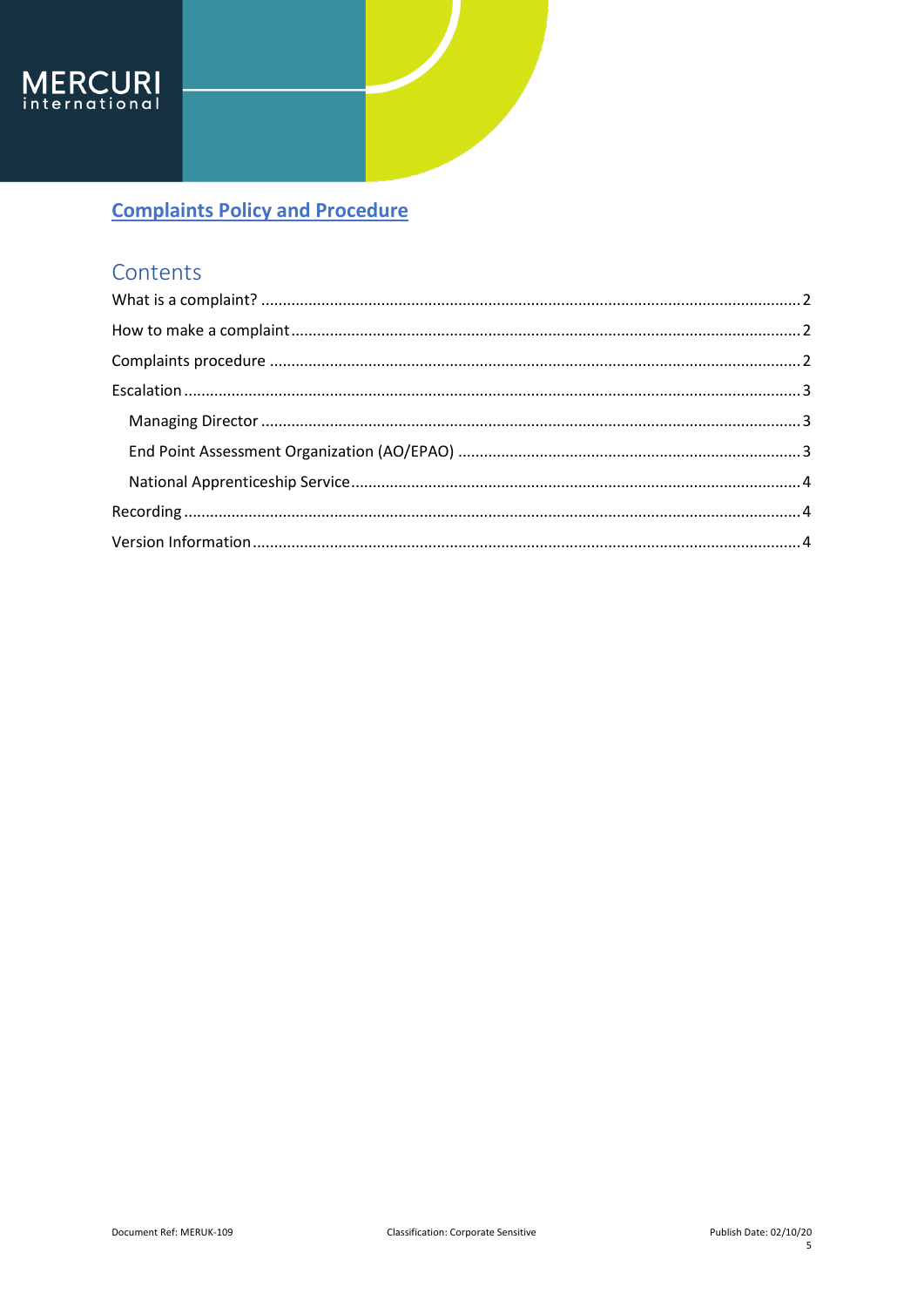

## Contents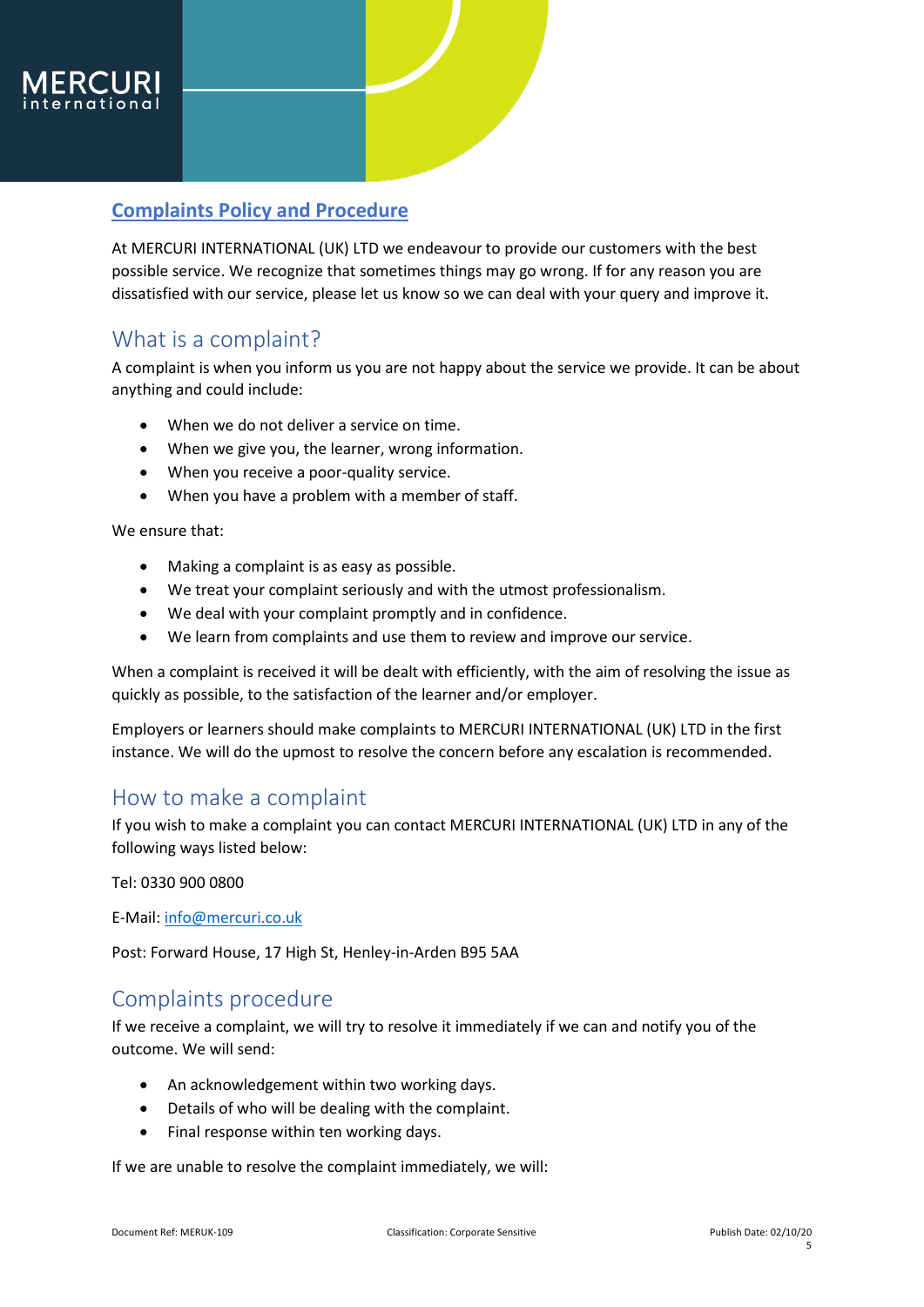

At MERCURI INTERNATIONAL (UK) LTD we endeavour to provide our customers with the best possible service. We recognize that sometimes things may go wrong. If for any reason you are dissatisfied with our service, please let us know so we can deal with your query and improve it.

### <span id="page-1-0"></span>What is a complaint?

A complaint is when you inform us you are not happy about the service we provide. It can be about anything and could include:

- When we do not deliver a service on time.
- When we give you, the learner, wrong information.
- When you receive a poor-quality service.
- When you have a problem with a member of staff.

We ensure that:

- Making a complaint is as easy as possible.
- We treat your complaint seriously and with the utmost professionalism.
- We deal with your complaint promptly and in confidence.
- We learn from complaints and use them to review and improve our service.

When a complaint is received it will be dealt with efficiently, with the aim of resolving the issue as quickly as possible, to the satisfaction of the learner and/or employer.

Employers or learners should make complaints to MERCURI INTERNATIONAL (UK) LTD in the first instance. We will do the upmost to resolve the concern before any escalation is recommended.

### <span id="page-1-1"></span>How to make a complaint

If you wish to make a complaint you can contact MERCURI INTERNATIONAL (UK) LTD in any of the following ways listed below:

Tel: 0330 900 0800

E-Mail: [info@mercuri.co.uk](mailto:info@mercuri.co.uk)

Post: Forward House, 17 High St, Henley-in-Arden B95 5AA

### <span id="page-1-2"></span>Complaints procedure

If we receive a complaint, we will try to resolve it immediately if we can and notify you of the outcome. We will send:

- An acknowledgement within two working days.
- Details of who will be dealing with the complaint.
- Final response within ten working days.

If we are unable to resolve the complaint immediately, we will: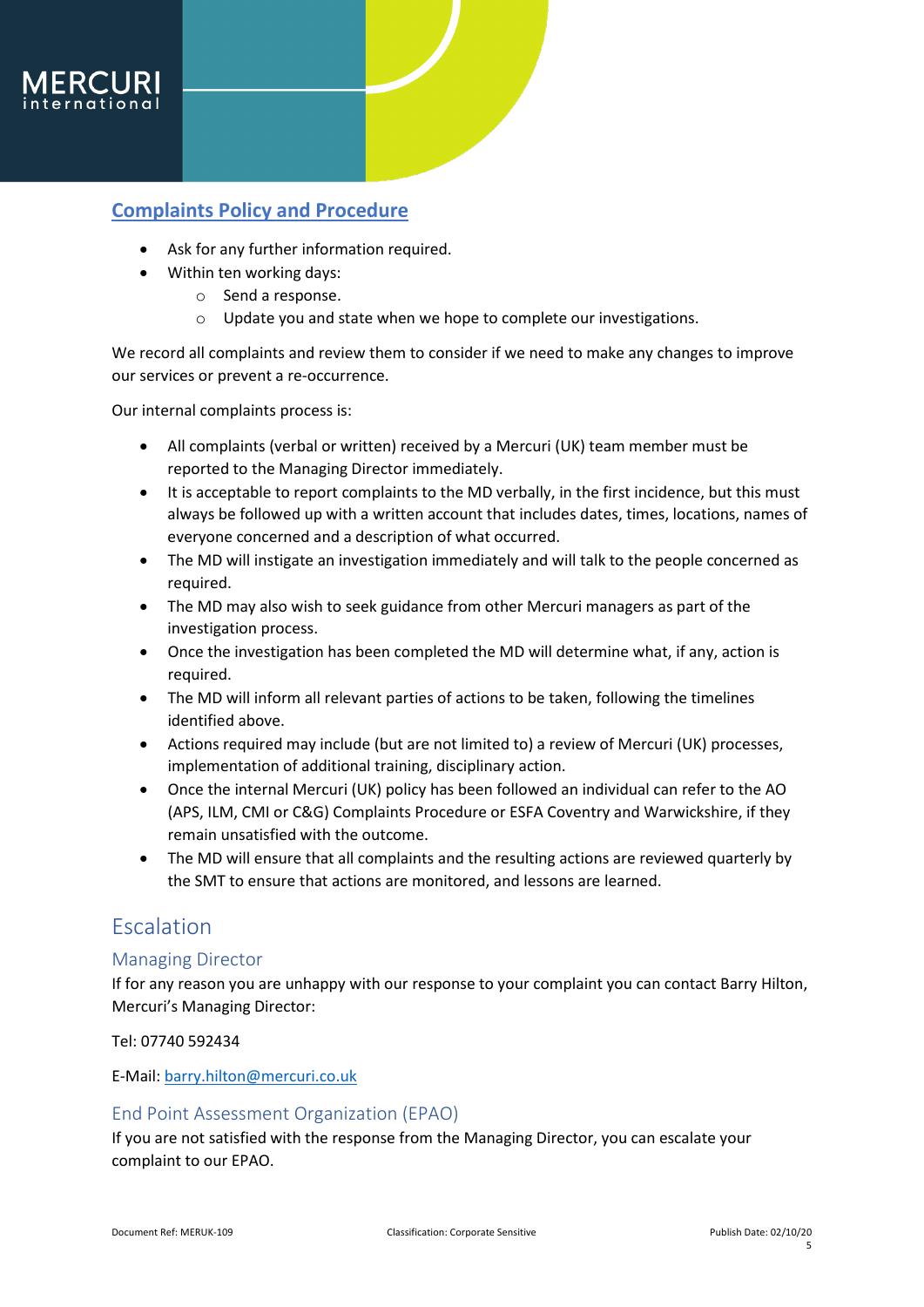

- Ask for any further information required.
- Within ten working days:
	- o Send a response.
	- o Update you and state when we hope to complete our investigations.

We record all complaints and review them to consider if we need to make any changes to improve our services or prevent a re-occurrence.

Our internal complaints process is:

- All complaints (verbal or written) received by a Mercuri (UK) team member must be reported to the Managing Director immediately.
- It is acceptable to report complaints to the MD verbally, in the first incidence, but this must always be followed up with a written account that includes dates, times, locations, names of everyone concerned and a description of what occurred.
- The MD will instigate an investigation immediately and will talk to the people concerned as required.
- The MD may also wish to seek guidance from other Mercuri managers as part of the investigation process.
- Once the investigation has been completed the MD will determine what, if any, action is required.
- The MD will inform all relevant parties of actions to be taken, following the timelines identified above.
- Actions required may include (but are not limited to) a review of Mercuri (UK) processes, implementation of additional training, disciplinary action.
- Once the internal Mercuri (UK) policy has been followed an individual can refer to the AO (APS, ILM, CMI or C&G) Complaints Procedure or ESFA Coventry and Warwickshire, if they remain unsatisfied with the outcome.
- The MD will ensure that all complaints and the resulting actions are reviewed quarterly by the SMT to ensure that actions are monitored, and lessons are learned.

### <span id="page-2-0"></span>Escalation

#### <span id="page-2-1"></span>Managing Director

If for any reason you are unhappy with our response to your complaint you can contact Barry Hilton, Mercuri's Managing Director:

Tel: 07740 592434

E-Mail: [barry.hilton@mercuri.co.uk](mailto:barry.hilton@mercuri.co.uk)

#### <span id="page-2-2"></span>End Point Assessment Organization (EPAO)

If you are not satisfied with the response from the Managing Director, you can escalate your complaint to our EPAO.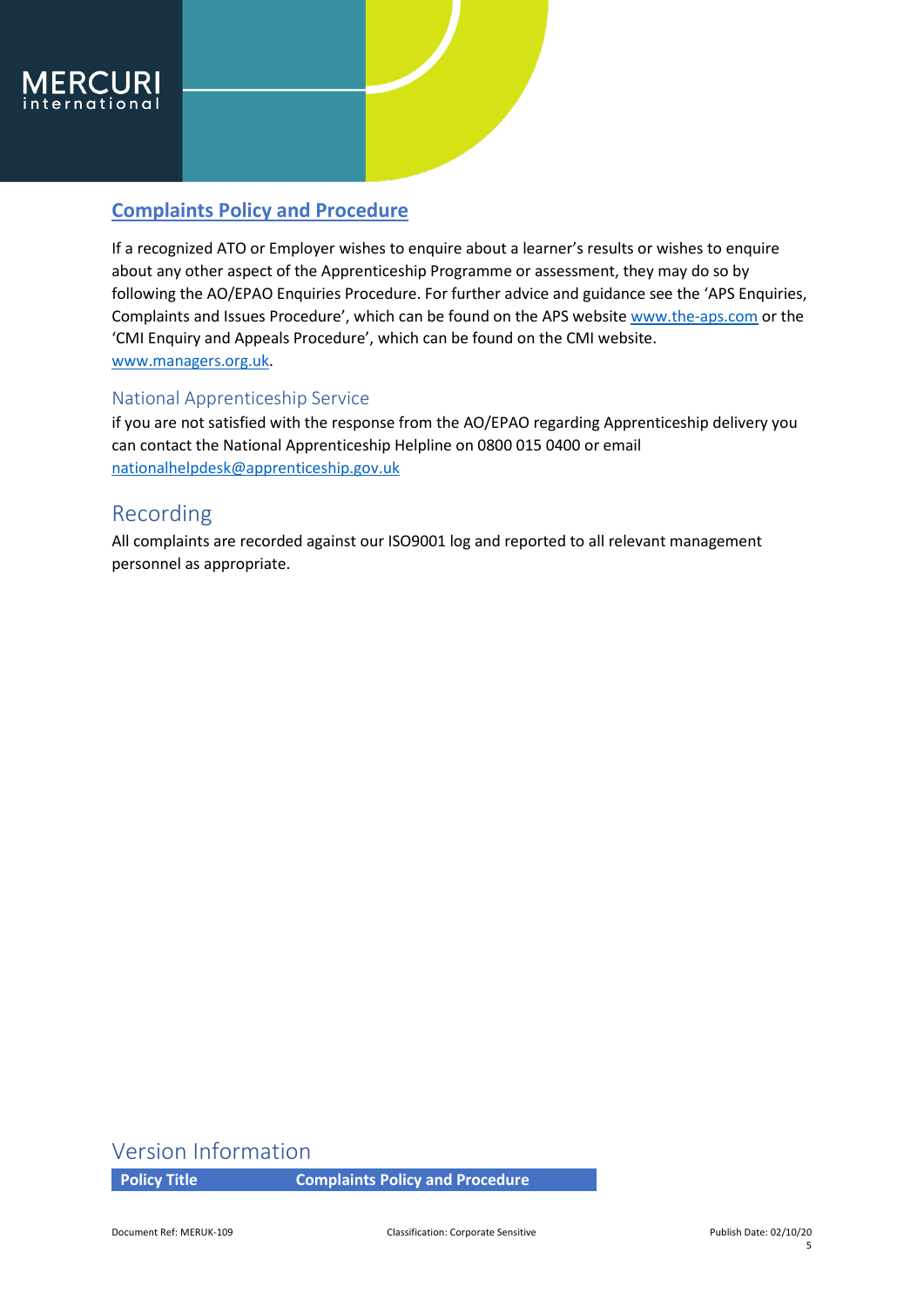

If a recognized ATO or Employer wishes to enquire about a learner's results or wishes to enquire about any other aspect of the Apprenticeship Programme or assessment, they may do so by following the AO/EPAO Enquiries Procedure. For further advice and guidance see the 'APS Enquiries, Complaints and Issues Procedure', which can be found on the APS websit[e www.the-aps.com](http://www.the-aps.com/) or the 'CMI Enquiry and Appeals Procedure', which can be found on the CMI website. [www.managers.org.uk.](https://www.managers.org.uk/wp-content/uploads/2020/03/Enquiry-and-Appeals-Procedure.pdf)

#### <span id="page-3-0"></span>National Apprenticeship Service

if you are not satisfied with the response from the AO/EPAO regarding Apprenticeship delivery you can contact the National Apprenticeship Helpline on 0800 015 0400 or email [nationalhelpdesk@apprenticeship.gov.uk](mailto:nationalhelpdesk@apprenticeship.gov.uk)

### <span id="page-3-1"></span>Recording

All complaints are recorded against our ISO9001 log and reported to all relevant management personnel as appropriate.

### <span id="page-3-2"></span>Version Information

**Policy Title Complaints Policy and Procedure**